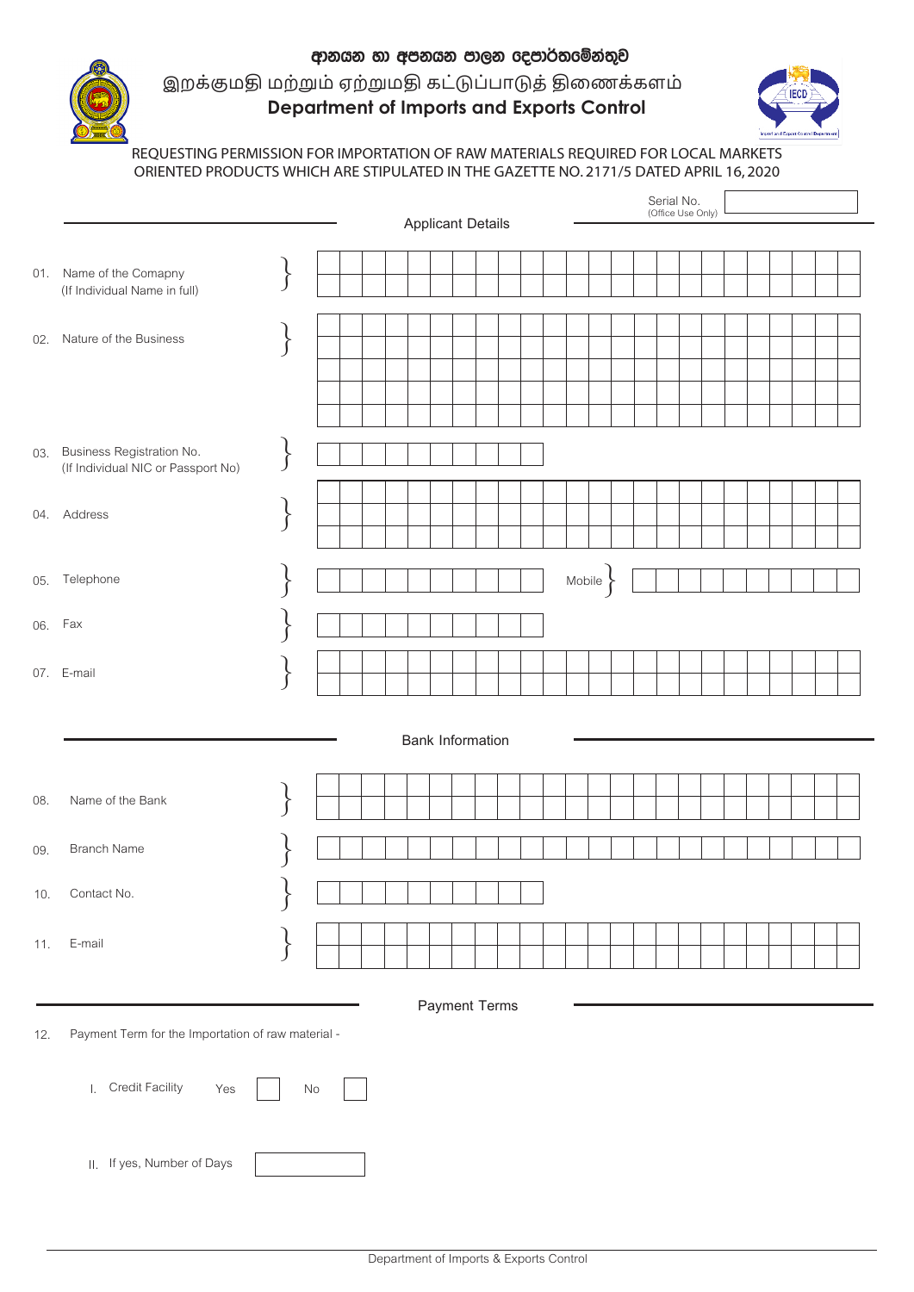

## **Department of Imports and Exports Control** ආනයන හා අපනයන පාලන දෙපාර්තමේන්තුව இறக்குமதி மற்றும் ஏற்றுமதி கட்டுப்பாடுத் திணைக்களம்



## REQUESTING PERMISSION FOR IMPORTATION OF RAW MATERIALS REQUIRED FOR LOCAL MARKETS ORIENTED PRODUCTS WHICH ARE STIPULATED IN THE GAZETTE NO. 2171/5 DATED APRIL 16, 2020

|     |                                                                     |                    | Serial No.<br>(Office Use Only) |  |  |  |  |
|-----|---------------------------------------------------------------------|--------------------|---------------------------------|--|--|--|--|
|     |                                                                     |                    | <b>Applicant Details</b>        |  |  |  |  |
| 01. | Name of the Comapny<br>(If Individual Name in full)                 |                    |                                 |  |  |  |  |
| 02. | Nature of the Business                                              | $\}$               |                                 |  |  |  |  |
|     | 03. Business Registration No.<br>(If Individual NIC or Passport No) | $\left\{ \right\}$ |                                 |  |  |  |  |
|     | 04. Address                                                         | $\big\}$           |                                 |  |  |  |  |
| 05. | Telephone                                                           |                    | Mobile                          |  |  |  |  |
|     | 06. Fax                                                             |                    |                                 |  |  |  |  |
|     | 07. E-mail                                                          |                    |                                 |  |  |  |  |
|     |                                                                     |                    | <b>Bank Information</b>         |  |  |  |  |
| 08. | Name of the Bank                                                    |                    |                                 |  |  |  |  |
| 09. | <b>Branch Name</b>                                                  |                    |                                 |  |  |  |  |
| 10. | Contact No.                                                         |                    |                                 |  |  |  |  |
| 11. | E-mail                                                              |                    |                                 |  |  |  |  |
|     |                                                                     |                    | <b>Payment Terms</b>            |  |  |  |  |
| 12. | Payment Term for the Importation of raw material -                  |                    |                                 |  |  |  |  |
|     | I. Credit Facility<br>Yes                                           | No                 |                                 |  |  |  |  |
|     | II. If yes, Number of Days                                          |                    |                                 |  |  |  |  |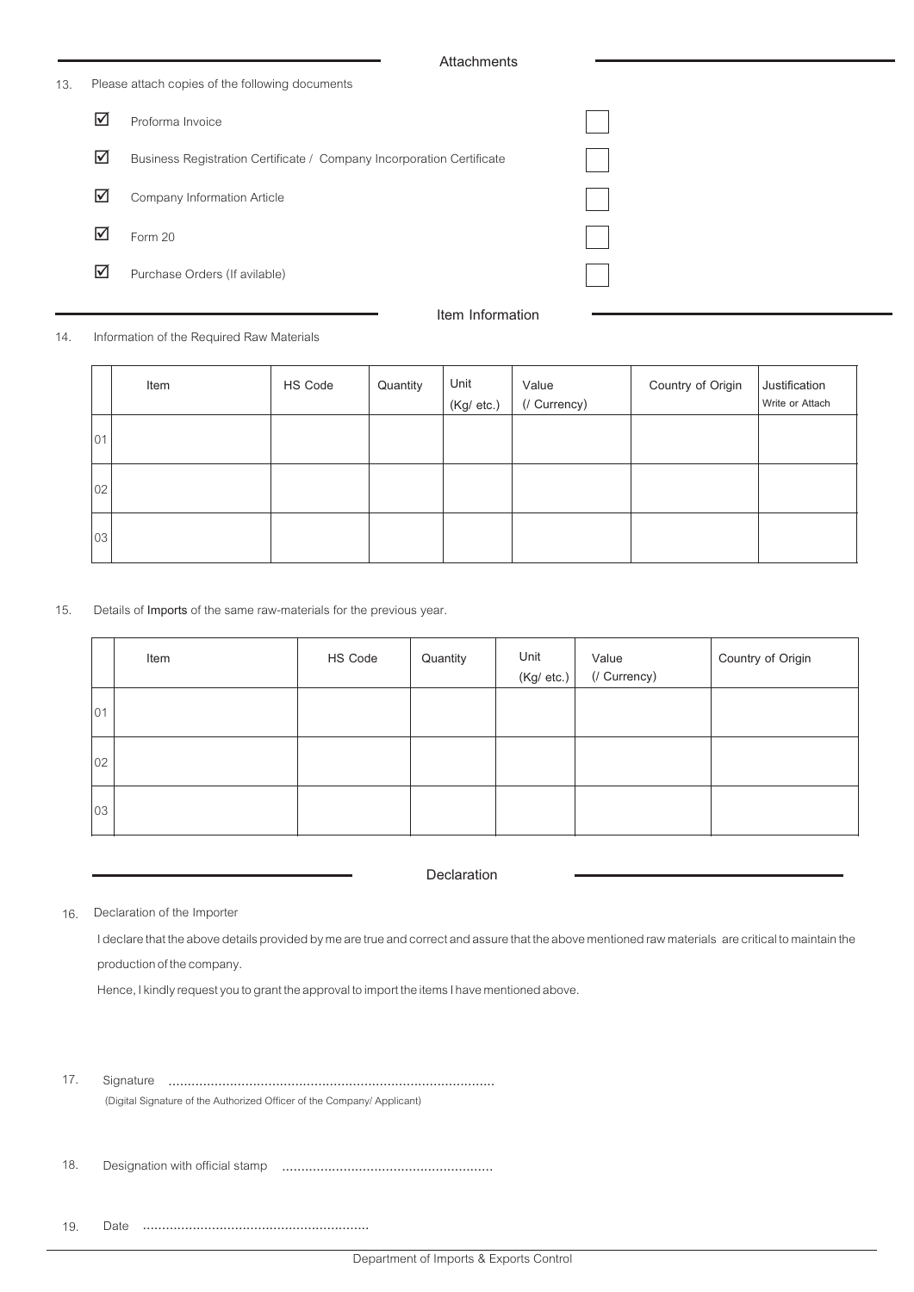| 13. | Please attach copies of the following documents |                                                                       |  |  |  |  |
|-----|-------------------------------------------------|-----------------------------------------------------------------------|--|--|--|--|
|     | $\blacktriangledown$                            | Proforma Invoice                                                      |  |  |  |  |
|     | ☑                                               | Business Registration Certificate / Company Incorporation Certificate |  |  |  |  |
|     | $\blacktriangledown$                            | Company Information Article                                           |  |  |  |  |
|     | ☑                                               | Form 20                                                               |  |  |  |  |
|     | ☑                                               | Purchase Orders (If avilable)                                         |  |  |  |  |
|     |                                                 | Item Information                                                      |  |  |  |  |

Information of the Required Raw Materials 14.

|              | Item | HS Code | Quantity | Unit<br>(Kg/ etc.) | Value<br>(/ Currency) | Country of Origin | Justification<br>Write or Attach |
|--------------|------|---------|----------|--------------------|-----------------------|-------------------|----------------------------------|
| $ 01\rangle$ |      |         |          |                    |                       |                   |                                  |
| 02           |      |         |          |                    |                       |                   |                                  |
| 03           |      |         |          |                    |                       |                   |                                  |

Details of **Imports** of the same raw-materials for the previous year. 15.

|              | Item | HS Code | Quantity | Unit<br>(Kg/ etc.) | Value<br>(/ Currency) | Country of Origin |
|--------------|------|---------|----------|--------------------|-----------------------|-------------------|
| 01           |      |         |          |                    |                       |                   |
| $ 02\rangle$ |      |         |          |                    |                       |                   |
| 03           |      |         |          |                    |                       |                   |

**Declaration**

Declaration of the Importer 16.

> I declare that the above details provided by me are true and correct and assure that the above mentioned raw materials are critical to maintain the production of the company.

Hence, I kindly request you to grant the approval to import the items I have mentioned above.

Signature ..................................................................................... (Digital Signature of the Authorized Officer of the Company/ Applicant) 17.

Designation with official stamp ....................................................... 18.

Date ........................................................... 19.